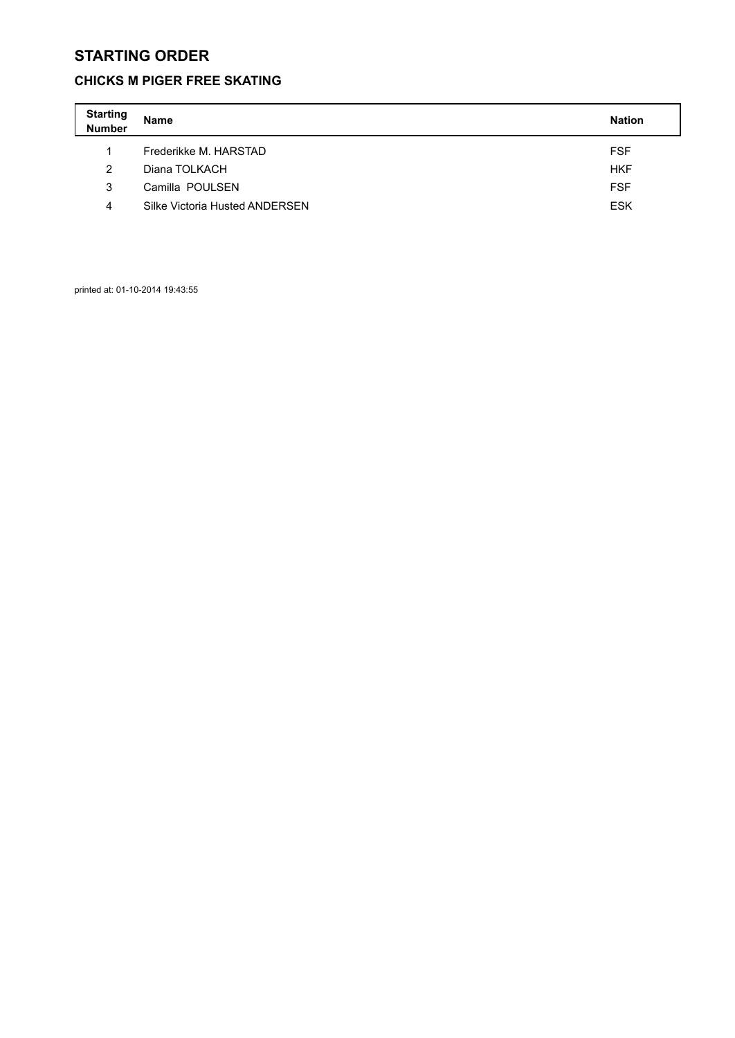#### **CHICKS M PIGER FREE SKATING**

| <b>Starting</b><br>Number | <b>Name</b>                    | <b>Nation</b> |
|---------------------------|--------------------------------|---------------|
| 1                         | Frederikke M. HARSTAD          | <b>FSF</b>    |
| 2                         | Diana TOLKACH                  | <b>HKF</b>    |
| 3                         | Camilla POULSEN                | <b>FSF</b>    |
| 4                         | Silke Victoria Husted ANDERSEN | <b>ESK</b>    |

printed at: 01-10-2014 19:43:55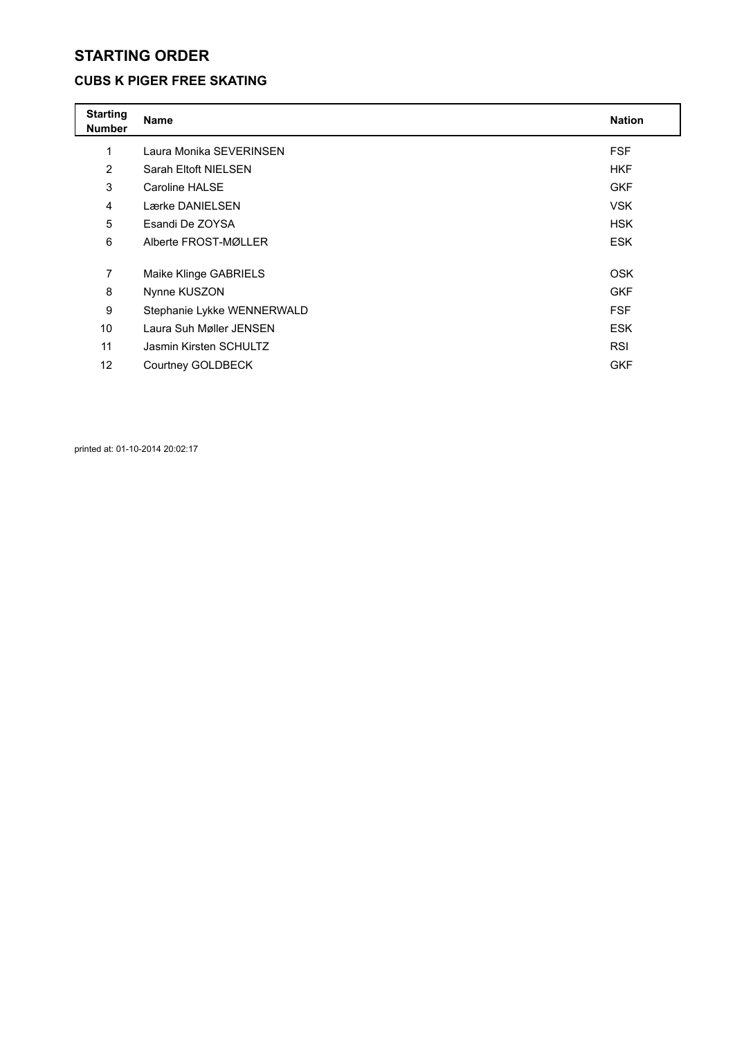### **CUBS K PIGER FREE SKATING**

| <b>Starting</b><br><b>Number</b> | <b>Name</b>                | <b>Nation</b> |
|----------------------------------|----------------------------|---------------|
| 1                                | Laura Monika SEVERINSEN    | <b>FSF</b>    |
| $\overline{2}$                   | Sarah Eltoft NIELSEN       | <b>HKF</b>    |
| 3                                | Caroline HALSE             | <b>GKF</b>    |
| 4                                | Lærke DANIELSEN            | <b>VSK</b>    |
| 5                                | Esandi De ZOYSA            | <b>HSK</b>    |
| 6                                | Alberte FROST-MØLLER       | <b>ESK</b>    |
|                                  |                            |               |
| 7                                | Maike Klinge GABRIELS      | <b>OSK</b>    |
| 8                                | Nynne KUSZON               | <b>GKF</b>    |
| 9                                | Stephanie Lykke WENNERWALD | <b>FSF</b>    |
| 10 <sup>1</sup>                  | Laura Suh Møller JENSEN    | <b>ESK</b>    |
| 11                               | Jasmin Kirsten SCHULTZ     | <b>RSI</b>    |
| 12                               | Courtney GOLDBECK          | <b>GKF</b>    |

printed at: 01-10-2014 20:02:17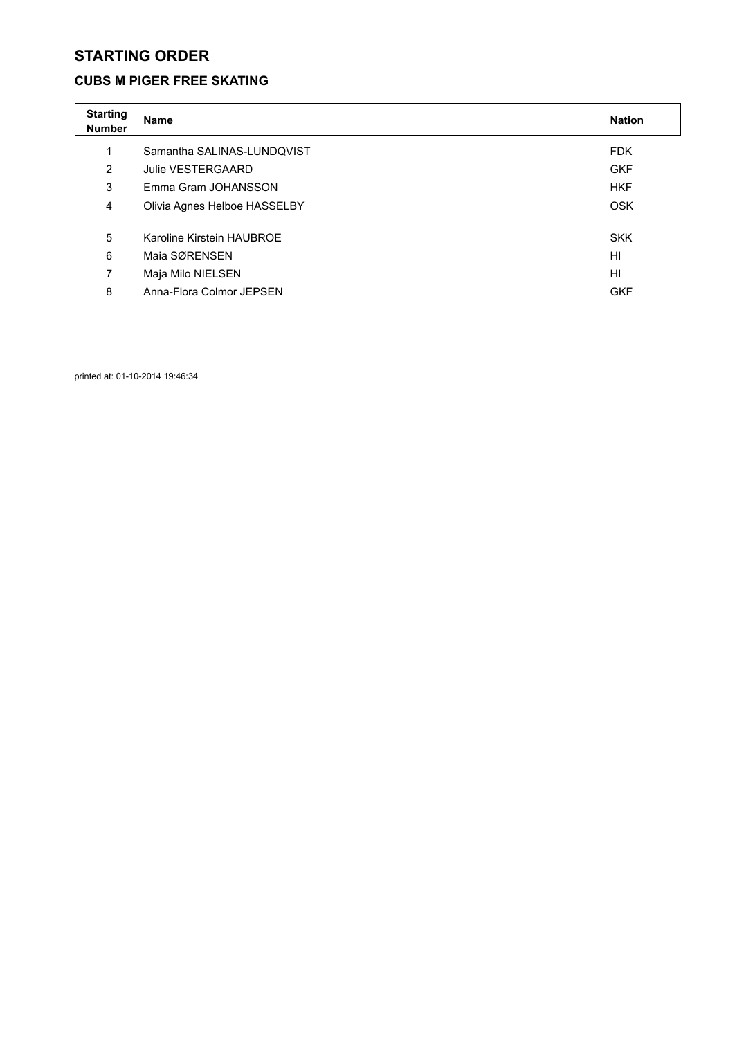#### **CUBS M PIGER FREE SKATING**

| <b>Starting</b><br><b>Number</b> | <b>Name</b>                  | <b>Nation</b> |
|----------------------------------|------------------------------|---------------|
| 1                                | Samantha SALINAS-LUNDQVIST   | <b>FDK</b>    |
| 2                                | Julie VESTERGAARD            | <b>GKF</b>    |
| 3                                | Emma Gram JOHANSSON          | <b>HKF</b>    |
| 4                                | Olivia Agnes Helboe HASSELBY | <b>OSK</b>    |
| 5                                | Karoline Kirstein HAUBROE    | <b>SKK</b>    |
| 6                                | Maia SØRENSEN                | HI            |
| 7                                | Maja Milo NIELSEN            | HI            |
| 8                                | Anna-Flora Colmor JEPSEN     | <b>GKF</b>    |

printed at: 01-10-2014 19:46:34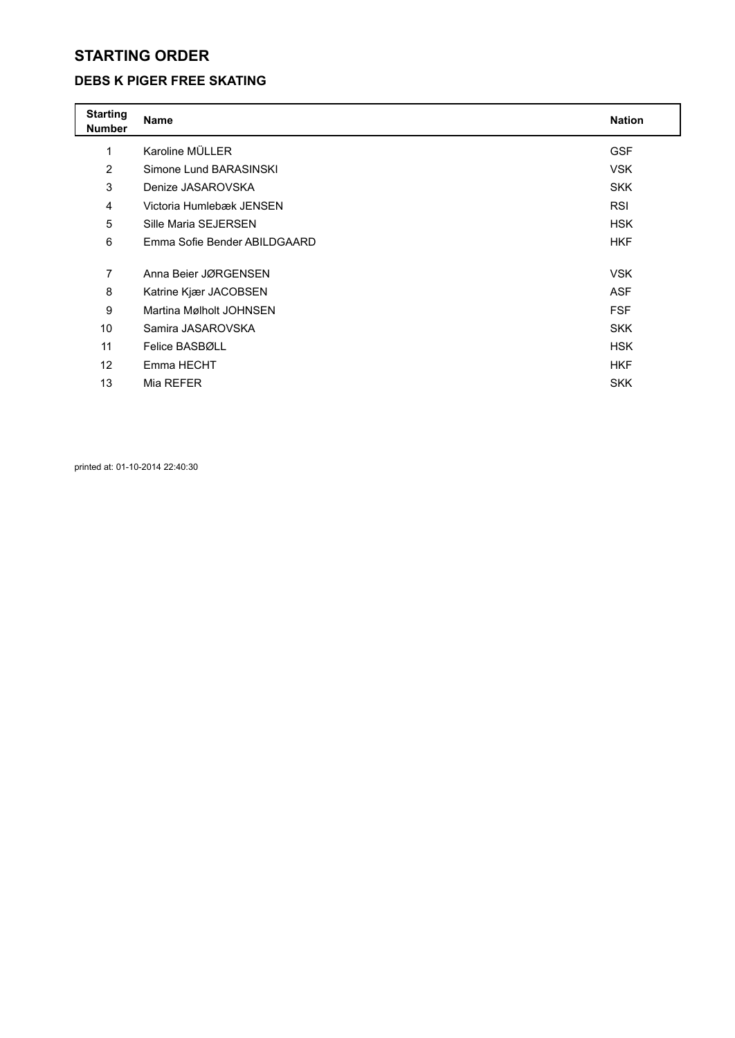#### **DEBS K PIGER FREE SKATING**

| <b>Starting</b><br><b>Number</b> | <b>Name</b>                  | <b>Nation</b> |
|----------------------------------|------------------------------|---------------|
| 1                                | Karoline MÜLLER              | <b>GSF</b>    |
| $\overline{2}$                   | Simone Lund BARASINSKI       | <b>VSK</b>    |
| 3                                | Denize JASAROVSKA            | <b>SKK</b>    |
| 4                                | Victoria Humlebæk JENSEN     | <b>RSI</b>    |
| 5                                | Sille Maria SEJERSEN         | <b>HSK</b>    |
| 6                                | Emma Sofie Bender ABILDGAARD | <b>HKF</b>    |
|                                  |                              |               |
| 7                                | Anna Beier JØRGENSEN         | <b>VSK</b>    |
| 8                                | Katrine Kjær JACOBSEN        | <b>ASF</b>    |
| 9                                | Martina Mølholt JOHNSEN      | <b>FSF</b>    |
| 10                               | Samira JASAROVSKA            | <b>SKK</b>    |
| 11                               | Felice BASBØLL               | <b>HSK</b>    |
| 12                               | Emma HECHT                   | <b>HKF</b>    |
| 13                               | Mia REFER                    | <b>SKK</b>    |

printed at: 01-10-2014 22:40:30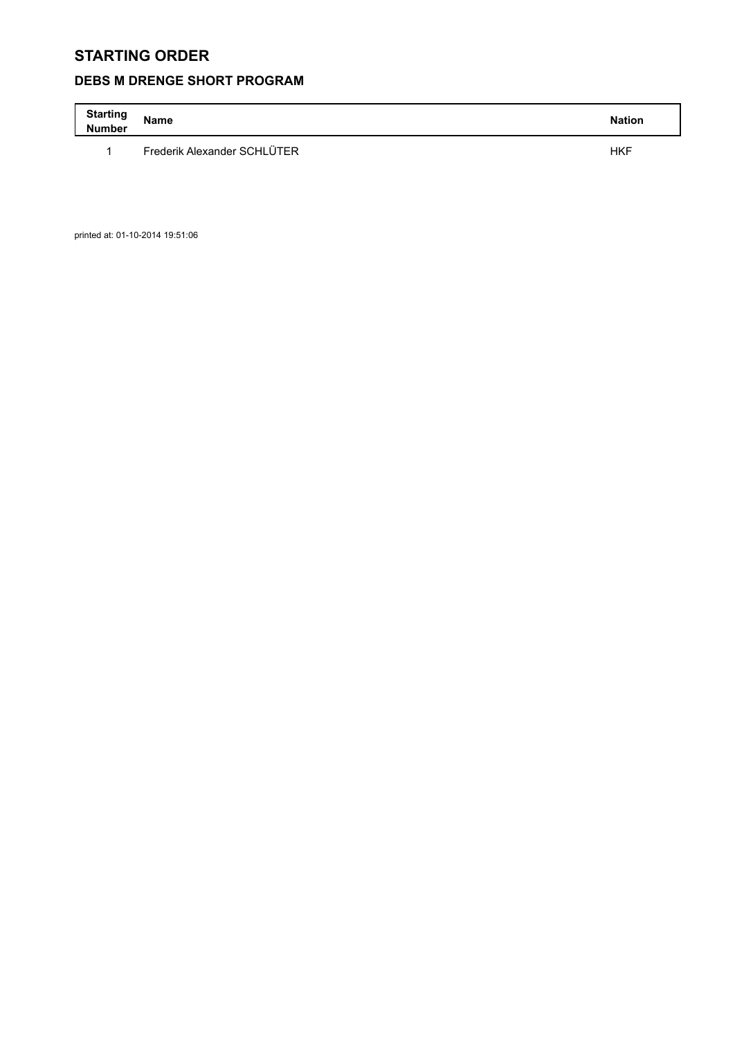## **DEBS M DRENGE SHORT PROGRAM**

| <b>Starting</b><br><b>Number</b> | <b>Name</b>                 | <b>Nation</b> |
|----------------------------------|-----------------------------|---------------|
|                                  | Frederik Alexander SCHLÜTER | <b>HKF</b>    |

printed at: 01-10-2014 19:51:06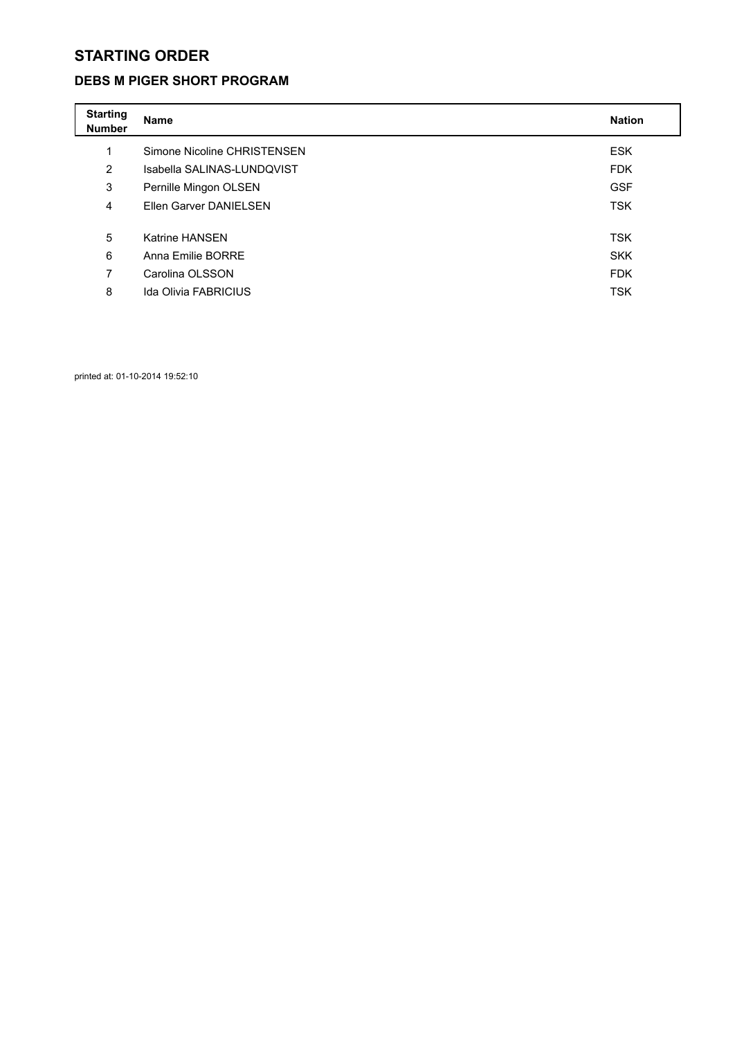#### **DEBS M PIGER SHORT PROGRAM**

| <b>Starting</b><br><b>Number</b> | <b>Name</b>                 | <b>Nation</b> |
|----------------------------------|-----------------------------|---------------|
| 1                                | Simone Nicoline CHRISTENSEN | <b>ESK</b>    |
| $\overline{2}$                   | Isabella SALINAS-LUNDQVIST  | <b>FDK</b>    |
| 3                                | Pernille Mingon OLSEN       | <b>GSF</b>    |
| 4                                | Ellen Garver DANIELSEN      | <b>TSK</b>    |
|                                  |                             |               |
| 5                                | <b>Katrine HANSEN</b>       | <b>TSK</b>    |
| 6                                | Anna Emilie BORRE           | <b>SKK</b>    |
| 7                                | Carolina OLSSON             | <b>FDK</b>    |
| 8                                | <b>Ida Olivia FABRICIUS</b> | <b>TSK</b>    |

printed at: 01-10-2014 19:52:10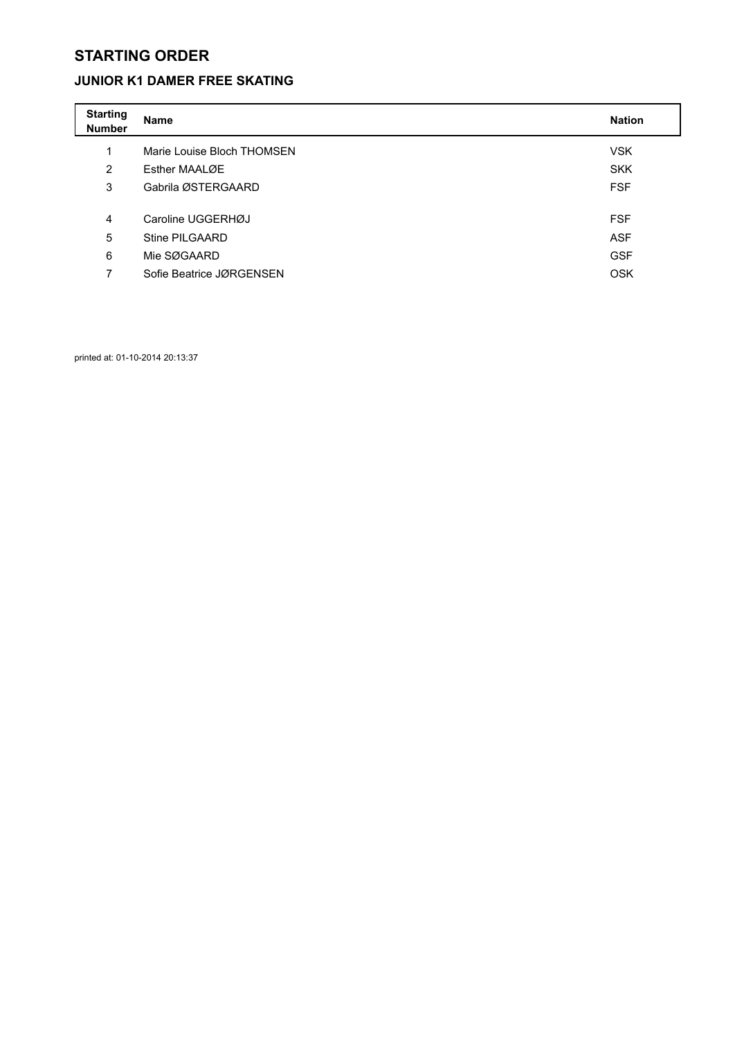### **JUNIOR K1 DAMER FREE SKATING**

| <b>Starting</b><br><b>Number</b> | Name                       | <b>Nation</b> |
|----------------------------------|----------------------------|---------------|
| 1                                | Marie Louise Bloch THOMSEN | <b>VSK</b>    |
| $\overline{2}$                   | Esther MAALØE              | <b>SKK</b>    |
| 3                                | Gabrila ØSTERGAARD         | <b>FSF</b>    |
|                                  |                            |               |
| 4                                | Caroline UGGERHØJ          | <b>FSF</b>    |
| 5                                | Stine PILGAARD             | <b>ASF</b>    |
| 6                                | Mie SØGAARD                | <b>GSF</b>    |
| 7                                | Sofie Beatrice JØRGENSEN   | <b>OSK</b>    |

printed at: 01-10-2014 20:13:37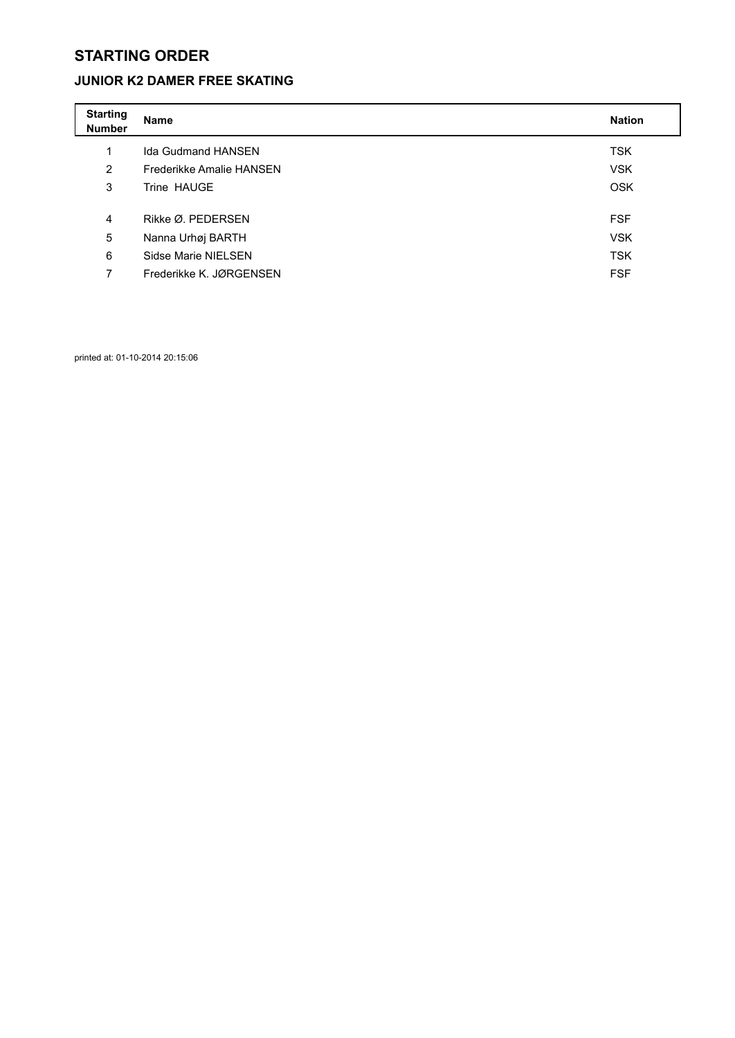## **JUNIOR K2 DAMER FREE SKATING**

| <b>Starting</b><br><b>Number</b> | Name                      | <b>Nation</b> |
|----------------------------------|---------------------------|---------------|
| 1                                | <b>Ida Gudmand HANSEN</b> | <b>TSK</b>    |
| $\overline{2}$                   | Frederikke Amalie HANSEN  | <b>VSK</b>    |
| 3                                | Trine HAUGE               | <b>OSK</b>    |
|                                  |                           |               |
| 4                                | Rikke Ø. PEDERSEN         | <b>FSF</b>    |
| 5                                | Nanna Urhøj BARTH         | <b>VSK</b>    |
| 6                                | Sidse Marie NIELSEN       | <b>TSK</b>    |
| 7                                | Frederikke K. JØRGENSEN   | <b>FSF</b>    |

printed at: 01-10-2014 20:15:06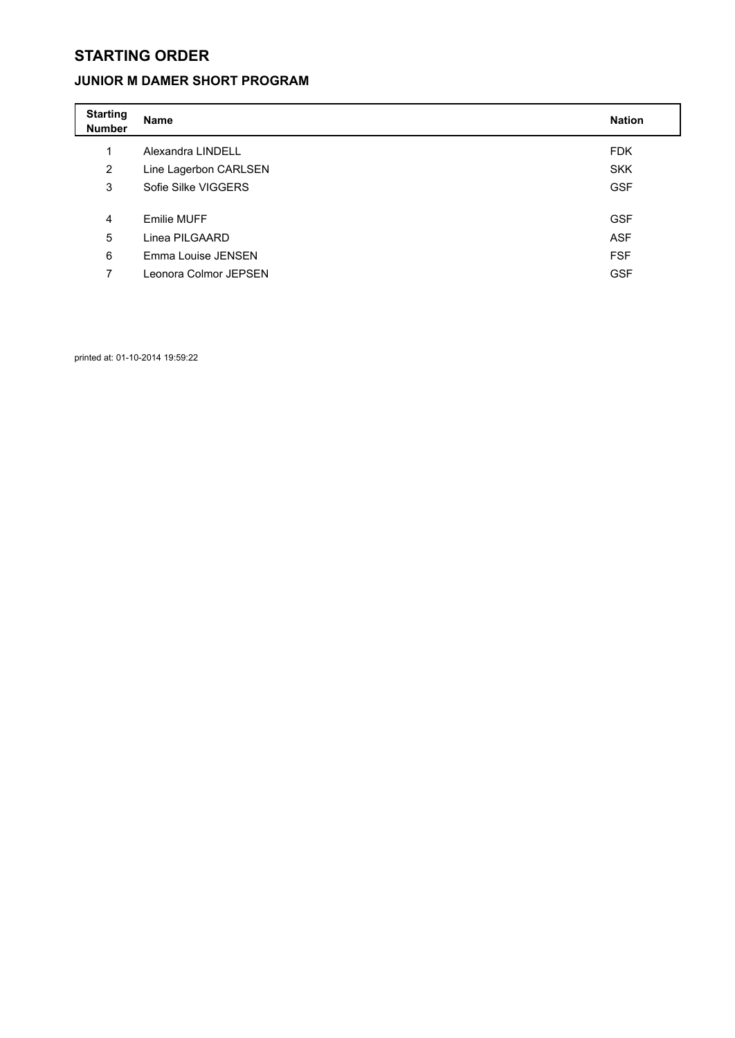### **JUNIOR M DAMER SHORT PROGRAM**

| <b>Starting</b><br><b>Number</b> | <b>Name</b>           | <b>Nation</b> |
|----------------------------------|-----------------------|---------------|
| 1                                | Alexandra LINDELL     | <b>FDK</b>    |
| $\overline{2}$                   | Line Lagerbon CARLSEN | <b>SKK</b>    |
| 3                                | Sofie Silke VIGGERS   | <b>GSF</b>    |
|                                  |                       |               |
| 4                                | Emilie MUFF           | <b>GSF</b>    |
| 5                                | Linea PILGAARD        | <b>ASF</b>    |
| 6                                | Emma Louise JENSEN    | <b>FSF</b>    |
| 7                                | Leonora Colmor JEPSEN | <b>GSF</b>    |

printed at: 01-10-2014 19:59:22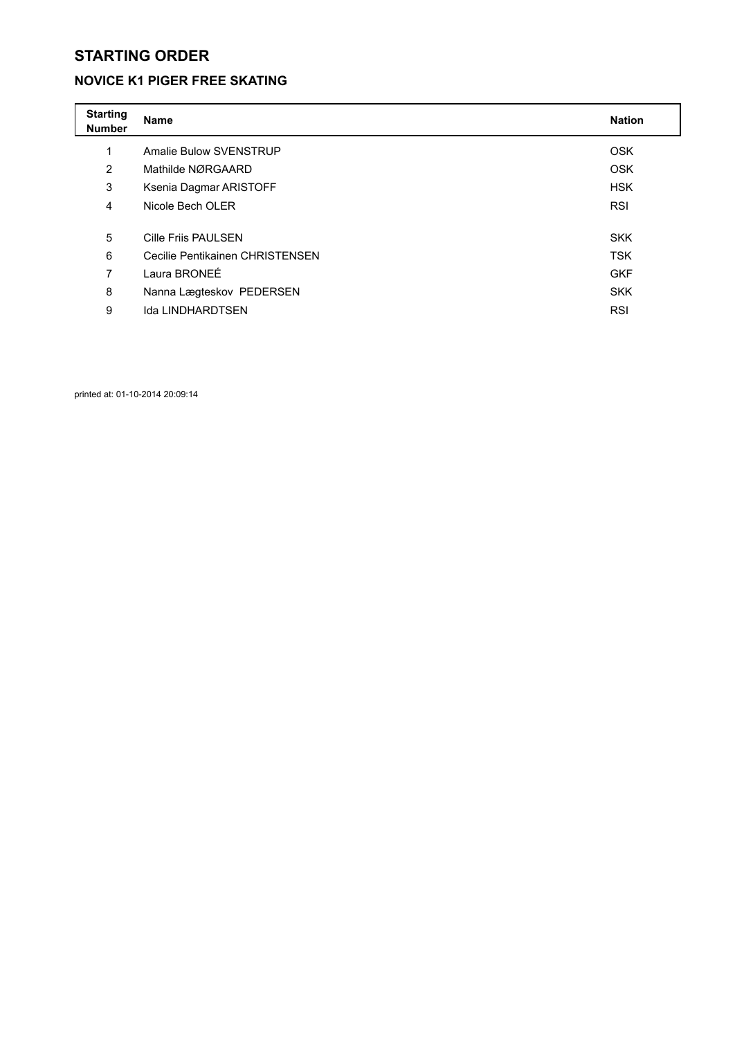### **NOVICE K1 PIGER FREE SKATING**

| <b>Starting</b><br><b>Number</b> | <b>Name</b>                     | <b>Nation</b> |
|----------------------------------|---------------------------------|---------------|
| 1                                | Amalie Bulow SVENSTRUP          | <b>OSK</b>    |
| $\overline{2}$                   | Mathilde NØRGAARD               | <b>OSK</b>    |
| 3                                | Ksenia Dagmar ARISTOFF          | <b>HSK</b>    |
| 4                                | Nicole Bech OLER                | <b>RSI</b>    |
|                                  |                                 |               |
| 5                                | <b>Cille Friis PAULSEN</b>      | <b>SKK</b>    |
| 6                                | Cecilie Pentikainen CHRISTENSEN | <b>TSK</b>    |
| 7                                | Laura BRONEE                    | <b>GKF</b>    |
| 8                                | Nanna Lægteskov PEDERSEN        | <b>SKK</b>    |
| 9                                | Ida LINDHARDTSEN                | <b>RSI</b>    |

printed at: 01-10-2014 20:09:14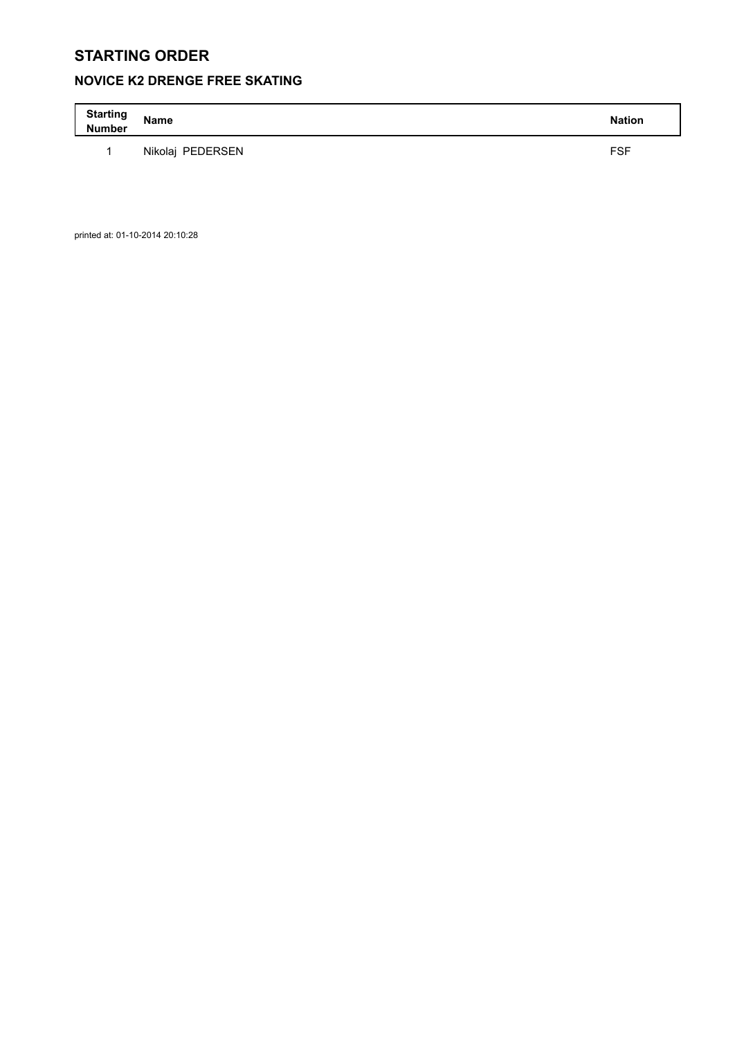## **NOVICE K2 DRENGE FREE SKATING**

| <b>Starting</b><br><b>Number</b> | Name             | <b>Nation</b> |
|----------------------------------|------------------|---------------|
|                                  | Nikolai PEDERSEN | <b>FSF</b>    |

printed at: 01-10-2014 20:10:28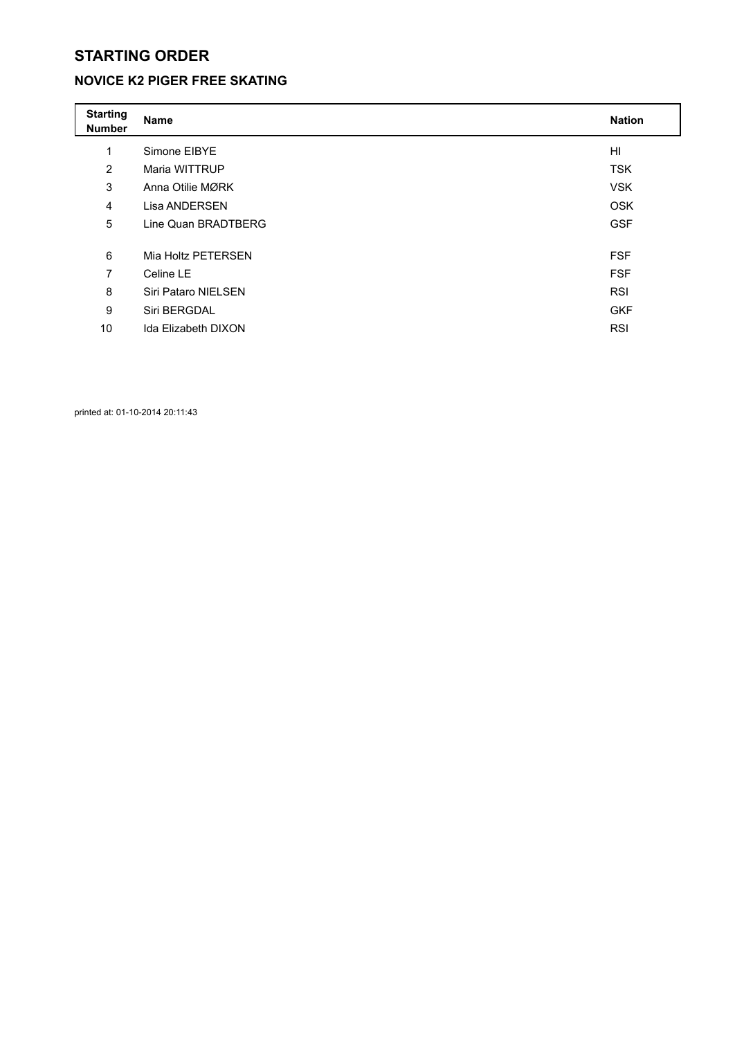## **NOVICE K2 PIGER FREE SKATING**

| <b>Starting</b><br><b>Number</b> | <b>Name</b>         | <b>Nation</b>  |
|----------------------------------|---------------------|----------------|
| 1                                | Simone EIBYE        | H <sub>l</sub> |
| 2                                | Maria WITTRUP       | <b>TSK</b>     |
| 3                                | Anna Otilie MØRK    | <b>VSK</b>     |
| 4                                | Lisa ANDERSEN       | <b>OSK</b>     |
| 5                                | Line Quan BRADTBERG | <b>GSF</b>     |
|                                  |                     |                |
| 6                                | Mia Holtz PETERSEN  | <b>FSF</b>     |
| 7                                | Celine LE           | <b>FSF</b>     |
| 8                                | Siri Pataro NIELSEN | <b>RSI</b>     |
| 9                                | Siri BERGDAL        | <b>GKF</b>     |
| 10                               | Ida Elizabeth DIXON | <b>RSI</b>     |
|                                  |                     |                |

printed at: 01-10-2014 20:11:43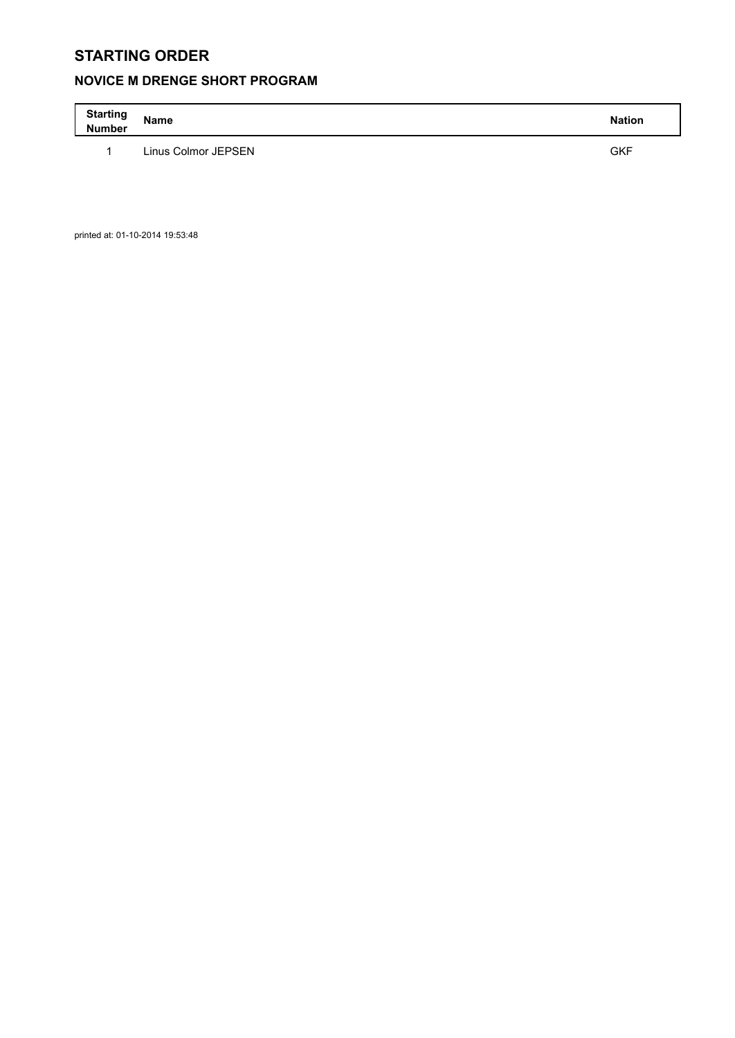## **NOVICE M DRENGE SHORT PROGRAM**

| <b>Starting</b><br><b>Number</b> | Name                | <b>Nation</b> |
|----------------------------------|---------------------|---------------|
|                                  | Linus Colmor JEPSEN | <b>GKF</b>    |

printed at: 01-10-2014 19:53:48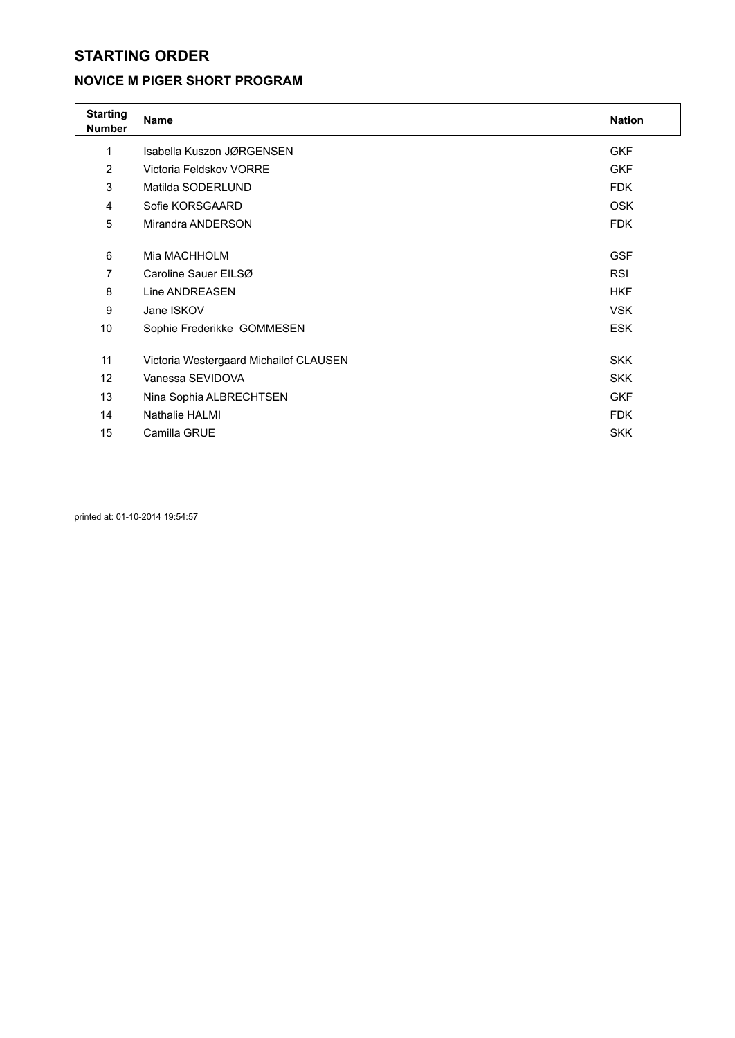### **NOVICE M PIGER SHORT PROGRAM**

| <b>Starting</b><br><b>Number</b> | <b>Name</b>                            | <b>Nation</b> |
|----------------------------------|----------------------------------------|---------------|
| 1                                | Isabella Kuszon JØRGENSEN              | <b>GKF</b>    |
| $\overline{2}$                   | Victoria Feldskov VORRE                | <b>GKF</b>    |
| 3                                | Matilda SODERLUND                      | <b>FDK</b>    |
| 4                                | Sofie KORSGAARD                        | <b>OSK</b>    |
| 5                                | Mirandra ANDERSON                      | <b>FDK</b>    |
|                                  |                                        |               |
| 6                                | Mia MACHHOLM                           | <b>GSF</b>    |
| 7                                | Caroline Sauer EILSØ                   | <b>RSI</b>    |
| 8                                | Line ANDREASEN                         | <b>HKF</b>    |
| 9                                | Jane ISKOV                             | <b>VSK</b>    |
| 10                               | Sophie Frederikke GOMMESEN             | <b>ESK</b>    |
|                                  |                                        |               |
| 11                               | Victoria Westergaard Michailof CLAUSEN | <b>SKK</b>    |
| 12                               | Vanessa SEVIDOVA                       | <b>SKK</b>    |
| 13                               | Nina Sophia ALBRECHTSEN                | <b>GKF</b>    |
| 14                               | Nathalie HALMI                         | <b>FDK</b>    |
| 15                               | Camilla GRUE                           | <b>SKK</b>    |

printed at: 01-10-2014 19:54:57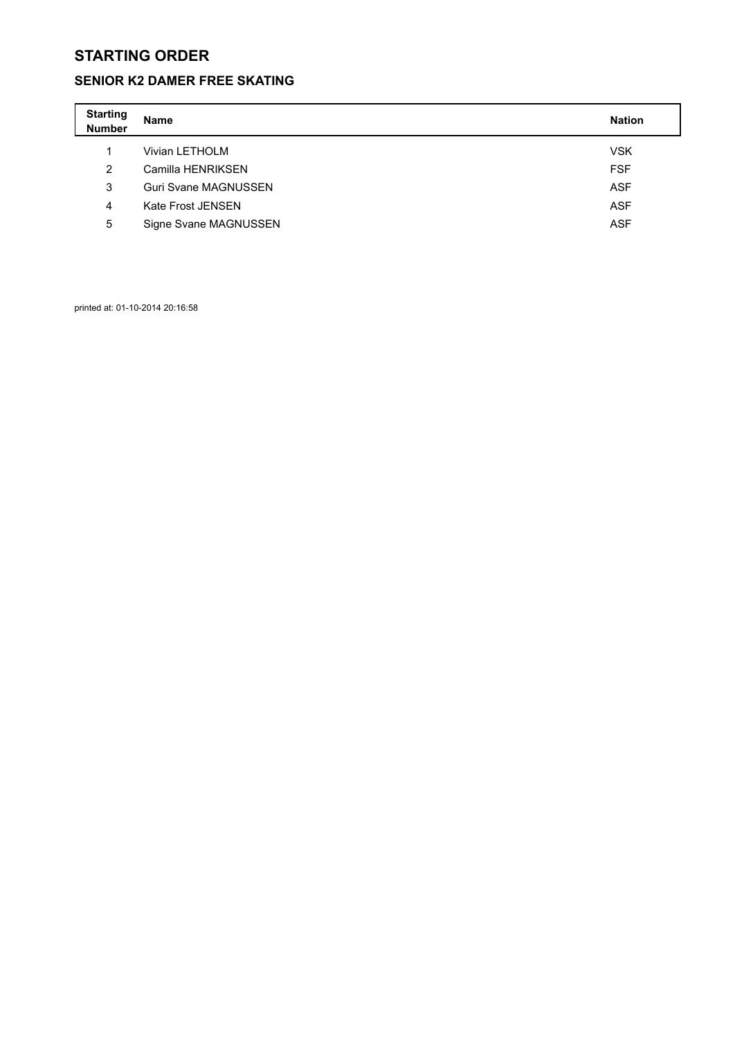### **SENIOR K2 DAMER FREE SKATING**

| <b>Starting</b><br><b>Number</b> | Name                        | <b>Nation</b> |
|----------------------------------|-----------------------------|---------------|
|                                  | Vivian LETHOLM              | <b>VSK</b>    |
| 2                                | Camilla HENRIKSEN           | <b>FSF</b>    |
| 3                                | <b>Guri Svane MAGNUSSEN</b> | <b>ASF</b>    |
| 4                                | Kate Frost JENSEN           | <b>ASF</b>    |
| 5                                | Signe Svane MAGNUSSEN       | <b>ASF</b>    |

printed at: 01-10-2014 20:16:58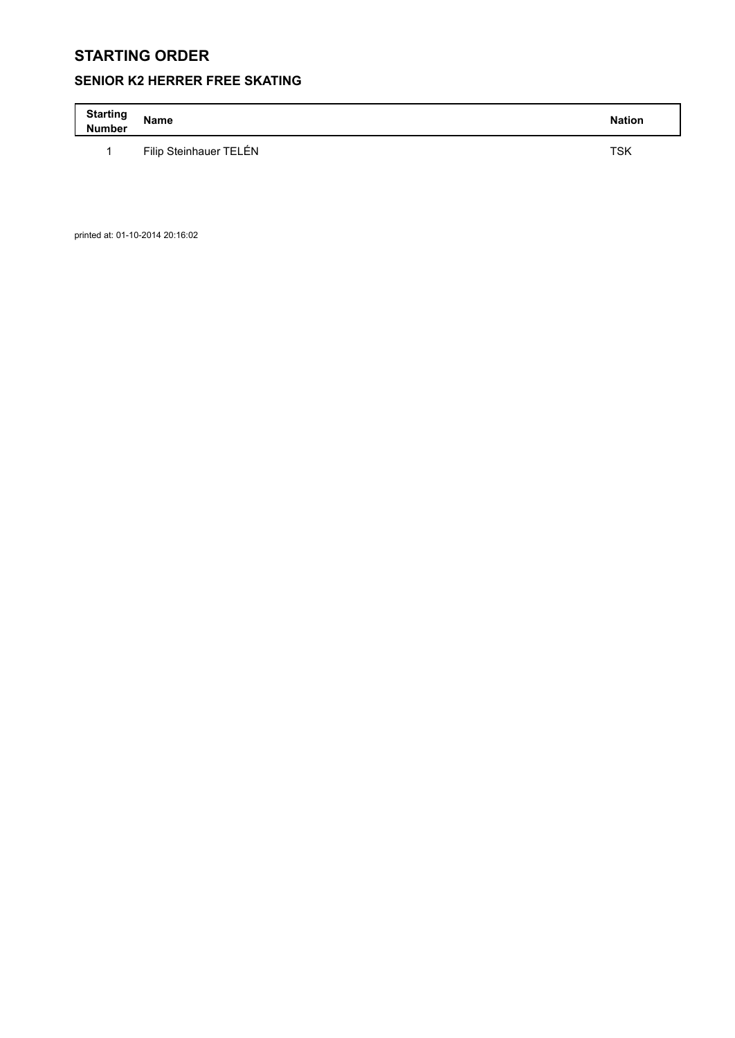## **SENIOR K2 HERRER FREE SKATING**

| <b>Starting</b><br><b>Number</b> | Name                   | <b>Nation</b> |
|----------------------------------|------------------------|---------------|
|                                  | Filip Steinhauer TELÉN | TSK           |

printed at: 01-10-2014 20:16:02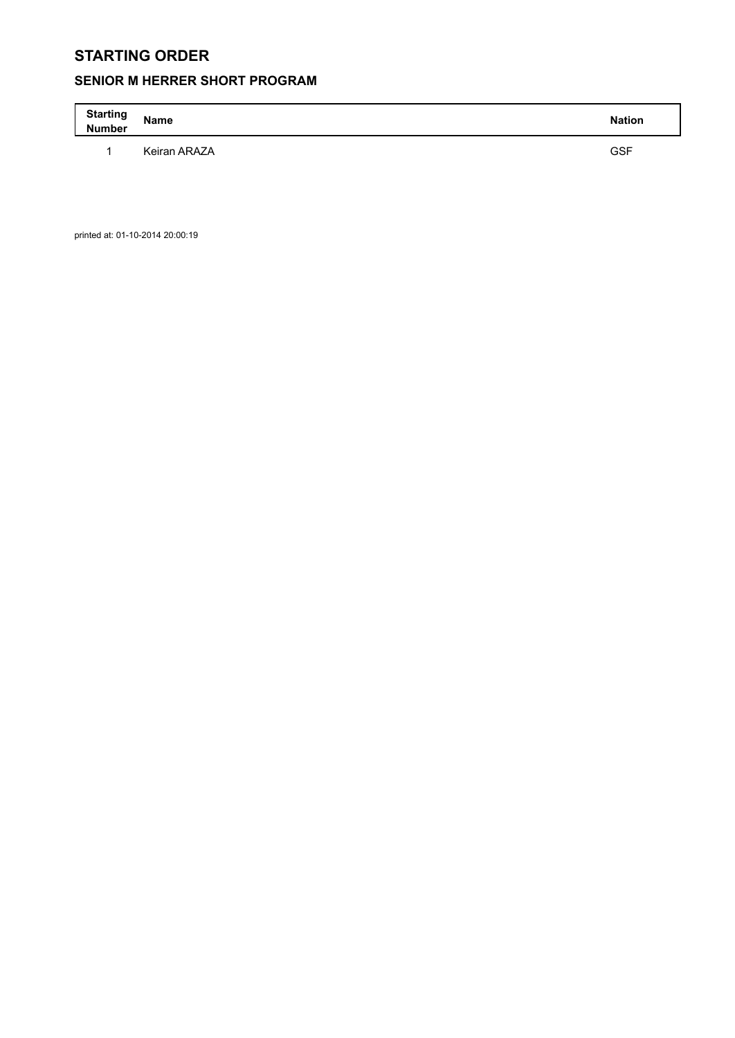## **SENIOR M HERRER SHORT PROGRAM**

| <b>Starting</b><br><b>Number</b> | <b>Name</b>  | <b>Nation</b> |
|----------------------------------|--------------|---------------|
|                                  | Keiran ARAZA | <b>GSF</b>    |

printed at: 01-10-2014 20:00:19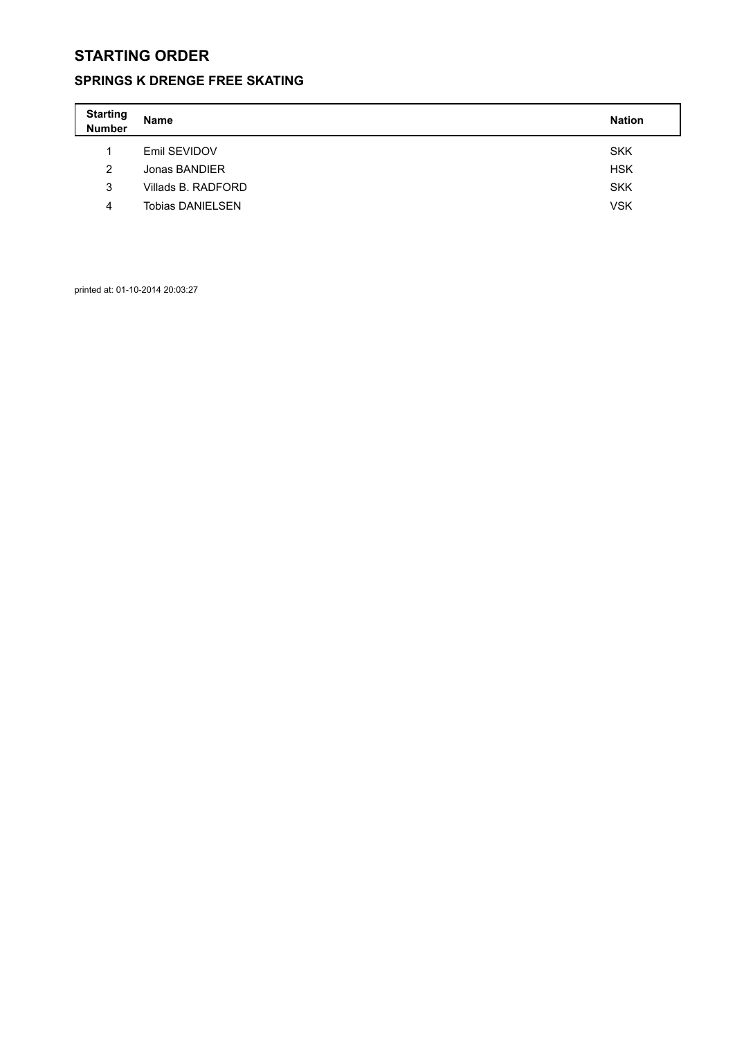## **SPRINGS K DRENGE FREE SKATING**

| <b>Starting</b><br>Number | <b>Name</b>             | <b>Nation</b> |
|---------------------------|-------------------------|---------------|
| 4                         | Emil SEVIDOV            | <b>SKK</b>    |
| 2                         | Jonas BANDIER           | <b>HSK</b>    |
| 3                         | Villads B. RADFORD      | <b>SKK</b>    |
| 4                         | <b>Tobias DANIELSEN</b> | <b>VSK</b>    |

printed at: 01-10-2014 20:03:27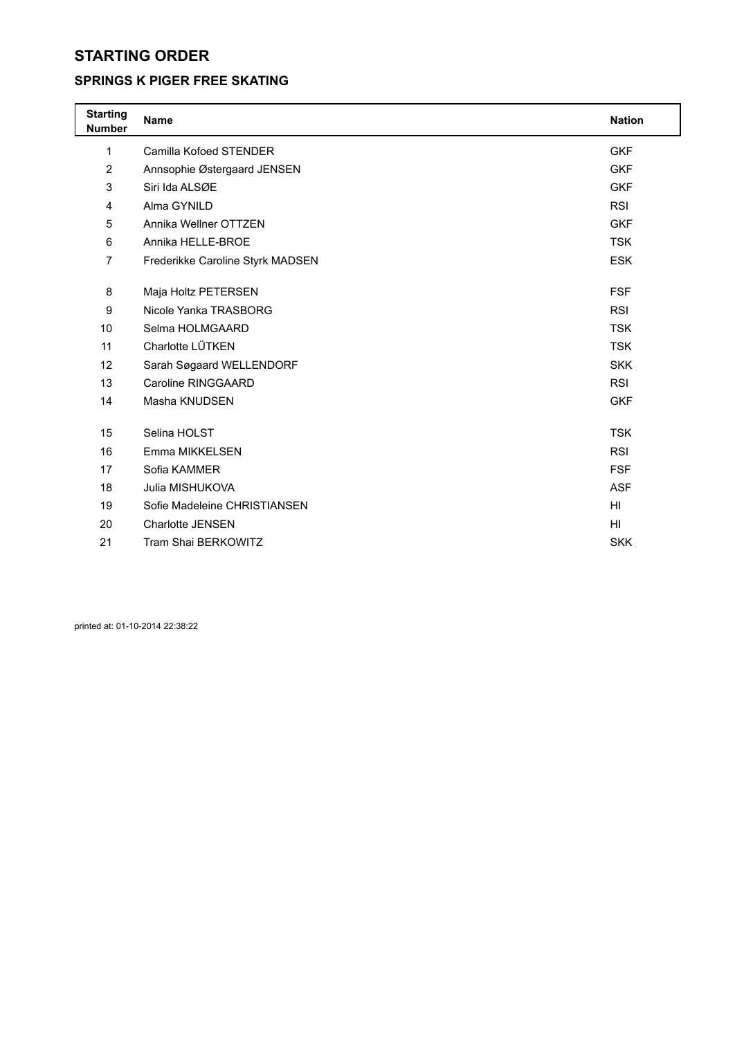#### **SPRINGS K PIGER FREE SKATING**

| <b>Starting</b><br><b>Number</b> | Name                             | <b>Nation</b>   |
|----------------------------------|----------------------------------|-----------------|
| 1                                | Camilla Kofoed STENDER           | <b>GKF</b>      |
| $\overline{2}$                   | Annsophie Østergaard JENSEN      | <b>GKF</b>      |
| 3                                | Siri Ida ALSØE                   | <b>GKF</b>      |
| 4                                | Alma GYNILD                      | <b>RSI</b>      |
| 5                                | Annika Wellner OTTZEN            | <b>GKF</b>      |
| 6                                | Annika HELLE-BROE                | <b>TSK</b>      |
| $\overline{7}$                   | Frederikke Caroline Styrk MADSEN | <b>ESK</b>      |
|                                  |                                  |                 |
| 8                                | Maja Holtz PETERSEN              | <b>FSF</b>      |
| 9                                | Nicole Yanka TRASBORG            | <b>RSI</b>      |
| 10                               | Selma HOLMGAARD                  | <b>TSK</b>      |
| 11                               | Charlotte LÜTKEN                 | <b>TSK</b>      |
| 12                               | Sarah Søgaard WELLENDORF         | <b>SKK</b>      |
| 13                               | Caroline RINGGAARD               | <b>RSI</b>      |
| 14                               | Masha KNUDSEN                    | <b>GKF</b>      |
|                                  |                                  |                 |
| 15                               | Selina HOLST                     | <b>TSK</b>      |
| 16                               | Emma MIKKELSEN                   | <b>RSI</b>      |
| 17                               | Sofia KAMMER                     | <b>FSF</b>      |
| 18                               | Julia MISHUKOVA                  | <b>ASF</b>      |
| 19                               | Sofie Madeleine CHRISTIANSEN     | HI              |
| 20                               | <b>Charlotte JENSEN</b>          | H <sub>II</sub> |
| 21                               | Tram Shai BERKOWITZ              | <b>SKK</b>      |
|                                  |                                  |                 |

printed at: 01-10-2014 22:38:22